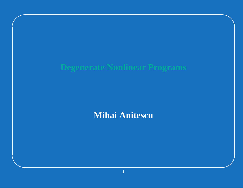# **Degenerate Nonlinear Programs**

# Mihai Anitescu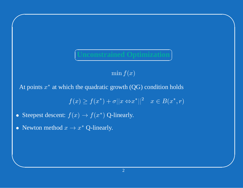## $\supset$ J

 $\bigwedge$ 

 $\mathcal{S}$ 

 $\min f(x)$ 

At points  $x^*$  at which the quadratic growth (QG) condition holds<br> $f(x) \ge f(x^*) + \sigma ||x \Leftrightarrow x^*||^2 \quad x \in B(x^*, r)$ 

$$
\boxed{\text{Unconstrained Optimization}}
$$
\n
$$
\min f(x)
$$
\n
$$
f(x) \ge f(x^*) + \sigma ||x \Leftrightarrow x^*||^2 \quad x \in B(x^*, r)
$$
\n
$$
f(x) \to f(x^*) \text{ Q-linearly.}
$$
\n
$$
\to x^* \text{ Q-linearly.}
$$

 $f(x) \ge$ <br> $f(x) \rightarrow$ <br> $\rightarrow r^*$ • Steepest descent:  $f(x) \rightarrow f(x^*)$  Q-linearly.<br>
• Newton method  $x \rightarrow x^*$  Q-linearly. • Steepest descent:  $f(x) \rightarrow$ <br>• Newton method  $x \rightarrow x^*$  (

 $\subset$ 

 $\setminus$ 

• Newton method  $x \to x^*$  Q-linearly.

 $\bigcap$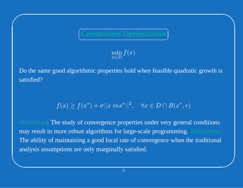### C  $\setminus$ つ Τ

 $\bigwedge$ 

 $\mathcal{S}$ 

 $\bigcap$ 

&

min $x\!\in\!D$ 

  $\cfrac{\text{Constanted Optimization}}{x \in D}$ <br> $\cfrac{\text{min } f(x)}{\text{min } f(x)}$ <br>thmic properties hold when feasib  $\lim_{D} f(x)$ <br>es hold Do the same good algorithmic properties hold when feasible quadratic growth is satisfied?

 $f(x) \ge f(x^*) + \sigma ||x \Leftrightarrow x^*||^2$ ,  $\forall x \in D$ <br>
are study of convergence properties under<br>
are robust algorithms for large-scale pro<br>
maintaining a good local rate of converges  $f(x) \ge f(x^*) + \sigma ||x \Leftrightarrow x^*||^2$ ,  $\forall x \in D \cap B(x^*, r)$ <br>ne study of convergence properties under very genera<br>nore robust algorithms for large-scale programming.<br>maintaining a good local rate of convergence when th<br>notions are only Motivation: The study of convergence properties under very general conditions may result in more robust algorithms for large-scale programming. Robustness: The ability of maintaining <sup>a</sup> good local rate of convergence when the traditional analysis assumptions are only marginally satisfied.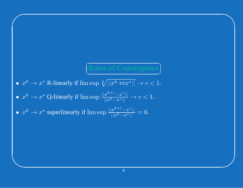### $\subset$ Z Τ

 $\bigwedge$ 

 $\mathcal{S}$ 

- $x^k \to x^*$  R-linearly if  $\limsup \sqrt[k]{||x^k \Leftrightarrow x^*||} \to c < 1$ .
- $\begin{aligned} &\textbf{Rates of Convergence}\ \ &\sup\sqrt[k]{||x^k\Leftrightarrow x^*||}\rightarrow c<1. \ &\sup\frac{||x^{k+1}-x^*||}{||x^k-x^*||}\rightarrow c<1. \ &\limsup\frac{||x^{k+1}-x^*||}{||x^k-x^*||}=0. \end{aligned}$  $\bullet$

 $\bigcap$ 

&

•  $x^k \to x^*$  R-linearly if  $\limsup \sqrt[k]{||x^k \Leftrightarrow x^*||} \to c < 1$ .<br>
•  $x^k \to x^*$  Q-linearly if  $\limsup \frac{||x^{k+1} - x^*||}{||x^k - x^*||} \to c < 1$ .<br>
•  $x^k \to x^*$  superlinearly if  $\limsup \frac{||x^{k+1} - x^*||}{||x^k - x^*||} = 0$ . •  $x^k \to x^*$  Q-linearly if  $\limsup \frac{||x^{k+1} - x^*||}{||x^k - x^*||} \to c < 1.$ <br>
•  $x^k \to x^*$  superlinearly if  $\limsup \frac{||x^{k+1} - x^*||}{||x^k - x^*||} = 0.$  $\bullet$  $\bullet \; x^k \to x^*$  superlinearly if  $\limsup \frac{||x^{k+1}-x^*||}{||x^k-x^*||} = 0.$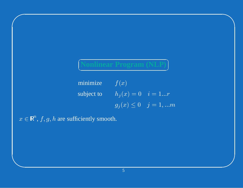minimize  $f(x)$ subject to  $h_j(x) = 0$   $i = 1...r$  $g_j(x) \le 0$   $j = 1,...m$ 

 $x \in \mathbb{R}^n$ ,  $f, g, h$  are sufficiently smooth.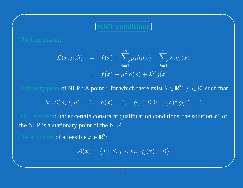$\subset$ Z  $\bigcap$   $\bigwedge$ 

 $\mathcal{S}$ 

 $\bigcap$ 

&

$$
(KKT conditions)
$$
  
\n∴  
\n
$$
\mathcal{L}(x, \mu, \lambda) = f(x) + \sum_{i=1}^{m} \mu_i h_i(x) + \sum_{i=1}^{r} \lambda_j g_j(x)
$$
  
\n
$$
= f(x) + \mu^T h(x) + \lambda^T g(x)
$$
  
\nnot of NLP : A point *x* for which there exist  $\lambda \in \mathbb{R}^m$ , *μ*  
\n
$$
\mathcal{L}(x, \lambda, \mu) = 0, \quad h(x) = 0, \quad g(z) \le 0, \quad (\lambda)^T g(z)
$$
  
\nunder certain constraint qualification conditions the

 $\blacksquare$   $\blacksquare$   $\blacksquare$   $\blacksquare$   $\blacksquare$   $\blacksquare$   $\blacksquare$   $\blacksquare$   $\blacksquare$   $\blacksquare$   $\blacksquare$   $\blacksquare$   $\blacksquare$   $\blacksquare$   $\blacksquare$   $\blacksquare$   $\blacksquare$   $\blacksquare$   $\blacksquare$   $\blacksquare$   $\blacksquare$   $\blacksquare$   $\blacksquare$   $\blacksquare$   $\blacksquare$   $\blacksquare$   $\blacksquare$   $\blacksquare$   $\blacksquare$   $\blacksquare$   $\blacksquare$   $\blacks$ Stationary point  $\operatorname{of} \text{NLP}$  :  $\operatorname{A}$   $\operatorname{point} x$ 

$$
\nabla_x \mathcal{L}(x, \lambda, \mu) = 0, \quad h(x) = 0, \quad g(z) \le 0, \quad (\lambda)^T g(z) = 0
$$

P: A point x for which there exist  $\lambda \in \mathbb{R}^m$ ,  $\mu \in \mathbb{R}^r$  such that<br>  $\mu = 0$ ,  $h(x) = 0$ ,  $g(z) \le 0$ ,  $(\lambda)^T g(z) = 0$ <br>
ertain constraint qualification conditions, the solution  $x^*$  of<br>
point of the NI P = 0,  $h(x) = 0$ ,  $g(z) \le 0$ ,  $(\lambda)^T g(z) = 0$ <br>tain constraint qualification conditions, the solu<br>oint of the NLP.<br>le  $x \in \mathbb{R}^n$ : KKT theorem: under certain constraint qualification conditions, the solution  $x^*$  of<br>the NLP is a stationary point of the NLP.<br>The active set of a feasible  $x \in \mathbb{R}^n$ . the NLP is <sup>a</sup> stationary point of the NLP.

The active set **of a feasible**  $x \in \mathbb{R}^n$ :<br> $\mathcal{A}(x) = \{j |$ 

$$
\mathcal{A}(x) = \{j | 1 \le j \le m, g_j(x) = 0\}
$$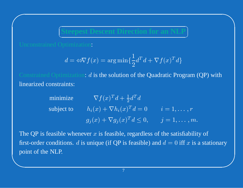C  $\setminus$   $\bigwedge$ 

 $\bigcap$ 

J

 $\bigcap$ 

**Steepest Descent Direction for an NLP**  
\n
$$
d = \Leftrightarrow \nabla f(x) = \arg\min\{\frac{1}{2}d^T d + \nabla f(x)^T d\}
$$
\nimization:  $d$  is the solution of the Quadratic Program

 $a =$ <br>miza<br>ints: =  $\Leftrightarrow \nabla f(x) = \arg \min \{ \frac{1}{2} d^T d + \nabla f(x)^T d \}$ <br>zation: *d* is the solution of the Quadratic Pro<br>ts:<br> $\nabla f(x)^T d + \frac{1}{2} d^T d$ Constrained Optimization: *d* is the solution of the Quadratic Program (QP) with<br>linearized constraints:<br>minimize  $\nabla f(x)^T d + \frac{1}{2} d^T d$ linearized constraints:

| minimize   | $\nabla f(x)^T d + \frac{1}{2} d^T d$                                      |                 |
|------------|----------------------------------------------------------------------------|-----------------|
| subject to | $h_i(x) + \nabla h_i(x)^T d = 0$                                           | $i=1,\ldots,r$  |
|            | $g_i(x) + \nabla g_i(x)^T d \leq 0,$                                       | $j=1,\ldots,m!$ |
|            | feasible whenever $x$ is feasible, regardless of the satisfiability        |                 |
|            | conditional diameters (if $\overline{OD}$ is focalled) and $J = 0$ iff wis |                 |

& $\mathcal{S}$ +  $\nabla h_i(x)^T d = 0$   $i = 1, \dots, r$ <br>+  $\nabla g_j(x)^T d \le 0$ ,  $j = 1, \dots, r$ <br>feasible, regardless of the satisfiabi<br>e (if QP is feasible) and  $d = 0$  iff x i +  $\nabla g_j(x)^T d \le 0$ ,  $j = 1, \dots, m$ .<br>
is feasible, regardless of the satisfiabilit<br>
e (if QP is feasible) and  $d = 0$  iff x is The QP is feasible whenever  $x$ x is feasible, regardless of the satisfiability of<br>ique (if QP is feasible) and  $d = 0$  iff x is a sta first-order conditions. d is unique (if QP is feasible) and  $d = 0$  iff x is a stationary point of the NLP. point of the NLP.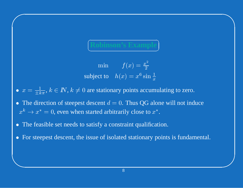### $\subset$ Z つ Τ

 $\bigwedge$ 

 $\mathcal{S}$ 

**Robinson's Example**

\nmin 
$$
f(x) = \frac{x^2}{2}
$$

\nsubject to  $h(x) = x^6 \sin \frac{1}{x}$ 

\n0 are stationary points occur

\nit descent  $d = 0$ . Thus QG also

- $=$ <br> $\frac{1}{100}$  $\bullet$
- $= x^6 \sin \frac{1}{x}$ <br>ints accum<br>hus QG al<br>close to x  $\begin{array}{c} \bullet \; x \ \bullet \; \mathrm{T} \ x^k \end{array}$  $x =$ <br>The<br> $\frac{k}{n}$ =  $\frac{1}{\pm k\pi}$ ,  $k \in \mathbb{N}$ ,  $k \neq 0$  are stationary points accumulating to zero.<br>
ne direction of steepest descent  $d = 0$ . Thus QG alone will not ind<br>  $\rightarrow x^* = 0$ , even when started arbitrarily close to  $x^*$ .<br>
ne feasib  $\bullet$ • The direction of steepest descent  $d = x^k \rightarrow x^* = 0$ , even when started arbition-<br>
• The feasible set needs to satisfy a cor = 0. Thus QG alone will not induce<br>itrarily close to  $x^*$ .<br>onstraint qualification.<br>olated stationary points is fundament  $x^{k}$
- $\bullet$

 $\bigcap$ 

&

 $x^* \rightarrow x^* = 0$ , even when started arbitrarily close to  $x^*$ .<br>The feasible set needs to satisfy a constraint qualification<br>For steepest descent, the issue of isolated stationary por • The feasible set needs to satisfy a constraint qualification.<br>• For steepest descent, the issue of isolated stationary point  $\bullet$ • For steepest descent, the issue of isolated stationary points is fundamental.<br>
Solution to the issue of isolated stationary points is fundamental.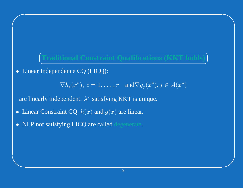# C  $\setminus$ つ J **Traditional Constraint Qualifications (KKT holds)**

 $\bigwedge$ 

 $\mathcal{S}$ 

• Linear Independence CQ (LICQ):<br>  $\nabla h_i(x^*), i = 1,...$ 

 $\bigcap$ 

&

 $\nabla h_i(x^*), i = 1, ..., r$  and  $\nabla g_j(x^*), j \in \mathcal{A}(x^*)$ <br>pendent.  $\lambda^*$  satisfying KKT is unique.<br>int CQ:  $h(x)$  and  $g(x)$  are linear.<br>ying LICQ are called degenerate.  $i =$ <br> $\lambda^*$  s:

are linearly independent.  $\lambda^*$ \* satisfying KKT is unique.<br>x) and  $g(x)$  are linear.

- $\bullet$ • Linear Constraint CQ:  $h(x)$  and  $g(x)$  are linear.<br>• NLP not satisfying LICQ are called degenerate.
- $\bullet$ NLP not satisfying LICQ are called degenerate.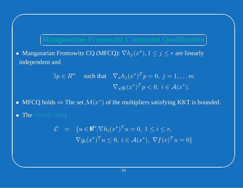## $\subset$  $\setminus$

 $\bigwedge$ 

ヽ

Τ

 $\mathcal{S}$ 

**Mangasarian-Fromowitz Constraint Qualification**<br>
arian Fromowitz CQ (MFCQ):  $\nabla h_j(x^*)$ ,  $1 \le j \le r$  are linearly<br>
ent and<br>  $\exists p \in R^n$  such that  $\nabla_x h_j(x^*)^T p = 0, j = 1, ... m$ <br>  $\nabla_a (x^*)^T p < 0, j \in A(x^*)$  $\bullet$ • Mangasarian Fromowitz CQ (MFCQ):  $\nabla h_j(x^*)$ ,  $1 \le j \le r$  are linearly<br>independent and<br> $\exists p \in R^n$  such that  $\nabla_x h_j(x^*)^T p = 0, j = 1,... m$ <br> $\nabla_x g_i(x^*)^T p < 0, i \in \mathcal{A}(x^*)$ . independent and

$$
\exists p \in R^n \quad \text{such that} \quad \nabla_x h_j(x^*)^T p = 0, \ j = 1, \dots m
$$

$$
\nabla_x g_i(x^*)^T p < 0, \ i \in \mathcal{A}(x^*).
$$
ls  $\Leftrightarrow$  The set  $\mathcal{M}(x^*)$  of the multipliers satisfying KKT is cone:

- $\bullet$
- $\bullet$ The critical cone:

 $\bigcap$ 

$$
\nabla_x g_i(x^*)^T p < 0, \ i \in \mathcal{A}(x^*).
$$
\n\n- MFCQ holds  $\Leftrightarrow$  The set  $\mathcal{M}(x^*)$  of the multipliers satisfying KKT is bounded.
\n- The critical cone:\n 
$$
\mathcal{C} = \{ u \in \mathbb{R}^n | \nabla h_i(x^*)^T u = 0, \ 1 \leq i \leq r, \nabla g_i(x^*)^T u \leq 0, \ i \in \mathcal{A}(x^*), \ \nabla f(x)^T u = 0 \}
$$
\n
\n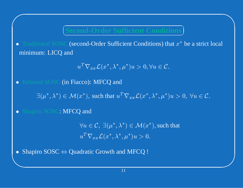### سم  $\setminus$ ╲

 $\bigwedge$ 

 $\mathcal{S}$ 

 $\text{Second-Order Sufficient Conditions}\$ <br>  $\text{Conclusions of the image shows that the image is a function of the image.}$ <br>  $\text{C}(\text{second-Order Sufficient Conditions})\text{ that }x^*\text{ and }y^T\nabla_{xx}\mathcal{L}(x^*,\lambda^*,\mu^*)u>0,\forall u\in\mathcal{C}.$  $\bullet$ • Traditional SOSC (second-Order Sufficient Conditions) that  $x^*$  be a strict local<br>minimum: LICQ and<br> $u^T \nabla_{xx} \mathcal{L}(x^*, \lambda^*, \mu^*) u > 0, \forall u \in \mathcal{C}.$ minimum: LICQ and

$$
u^T \nabla_{xx} \mathcal{L}(x^*, \lambda^*, \mu^*) u > 0, \forall u \in \mathcal{C}.
$$
  
acco): MFCQ and

 $\bullet$ 

 $u^T \nabla_{xx} \mathcal{L}(x^*, \lambda^*, \mu^*) u > 0, \forall u \in \mathcal{C}.$ <br>
• Relaxed SOSC (in Fiacco): MFCQ and<br>  $\exists (\mu^*, \lambda^*) \in \mathcal{M}(x^*),$  such that  $u^T \nabla_{xx} \mathcal{L}(x^*, \lambda^*, \mu^*)$ 

 $) \in$ <br> $\therefore N$ • Shapiro SOSC: MFCQ and  $\forall u \in u^T \nabla$ 

 $\bigcap$ 

 $\exists (\mu^*, \lambda^*) \in \mathcal{M}(x^*),$  such that  $u^T \nabla_{xx} \mathcal{L}(x^*, \lambda^*, \mu^*) u > 0, \ \forall u \in \mathcal{C}.$ <br>ro SOSC: MFCQ and<br> $\forall u \in \mathcal{C}, \ \exists (\mu^*, \lambda^*) \in \mathcal{M}(x^*),$  such that<br> $u^T \nabla_{xx} \mathcal{L}(x^*, \lambda^*, \mu^*) u > 0.$  $\forall u \in C, \ \exists (\mu^*, \lambda^*) \in \mathcal{M}(x^*),$  such that<br>  $u^T \nabla_{xx} \mathcal{L}(x^*, \lambda^*, \mu^*) u > 0.$ <br>
dratic Growth and MFCQ !  $u \in$ <br> $T \nabla$ <br>ratic  $u^T$ 

& $u^T \nabla_{xx} \mathcal{L}(x^*, \lambda^*, \mu^*) u > 0.$ <br>• Shapiro SOSC  $\Leftrightarrow$  Quadratic Growth and MFCQ !  $\bullet$  $\Leftrightarrow$  Quadratic Growth and MFCQ !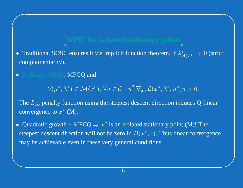### C V  $\bigcap$ J

 $\bigwedge$ 

 $\mathcal{S}$ 

- **SOSC** for **isolated stationary** points<br> **Consumes** it via implicit function theorem, if  $\lambda$ <sup>3</sup><br> **MFCQ** and<br>
\* • Traditional SOSC ensures it via implicit function theorem, if  $\lambda_{\mathcal{A}(x^*)}^* > 0$  (strict<br>complementarity).<br>• Robinson SOSC: MFCQ and<br> $\forall (\mu^*, \lambda^*) \in \mathcal{M}(x^*), \forall u \in \mathcal{C} \quad u^T \nabla_{xx} \mathcal{L}(x^*, \lambda^*, \mu^*) u > 0.$ complementarity).
- Robinson SOSC: MFCQ and<br>  $\forall (\mu^*, \lambda^*) \in \mathcal{M}(x^*)$ <br>
The Lempty function using

 $\bigcap$ 

&

 $\forall (\mu^*, \lambda^*) \in \mathcal{M}(x^*), \forall u \in \mathcal{C} \quad u^T \nabla_{xx} \mathcal{L}(x^*, \lambda^*, \mu^*) u >$ <br>nalty function using the steepest descent direction induce<br>e to  $x^*$  (M).<br>growth + MFCO  $\Rightarrow x^*$  is an isolated stationary point (M  $(x^*)$ ,  $\forall u \in C$   $u^T \nabla_{xx} \mathcal{L}(x^*, \lambda^*, \mu^*) u > 0.$ <br>ction using the steepest descent direction induces (<br>M).<br>FMFCQ  $\Rightarrow x^*$  is an isolated stationary point (M)! The  $L_\infty$ convergence to  $x^*$  (M).

 $\infty$  penalty function using the steepest descent direction induces Q-linear<br>rgence to  $x^*$  (M).<br>Iratic growth + MFCQ  $\Rightarrow x^*$  is an isolated stationary point (M)! The<br>st descent direction will not be zero in  $B(x^*, r)$ . Th Quadratic growth + MFCQ  $\Rightarrow x^*$  is an isolated stationary point (M)! The  $\bullet$ • Quadratic growth + MFCQ  $\Rightarrow x^*$  is an isolated stationary point (M)! The steepest descent direction will not be zero in  $B(x^*, r)$ . Thus linear converg may be achievable even in these very general conditions. steepest descent direction will not be zero in  $B(x^{\ast},r).$  Thus linear convergence may be achievable even in these very general conditions.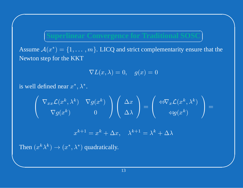Assume  $A(x^*) = \{1, ..., m\}$ . LICQ and strict complementarity ensure that the Newton step for the KKT

$$
\nabla L(x,\lambda)=0,\quad g(x)=0
$$

is well defined near  $x^*, \lambda^*$ .

$$
\left(\begin{array}{cc}\nabla_{xx}\mathcal{L}(x^k,\lambda^k) & \nabla g(x^k) \\
\nabla g(x^k) & 0\n\end{array}\right)\left(\begin{array}{c}\Delta x \\
\Delta \lambda\n\end{array}\right)=\left(\begin{array}{c}\Leftrightarrow\nabla_x\mathcal{L}(x^k,\lambda^k) \\
\Leftrightarrow g(x^k)\end{array}\right)=
$$

$$
x^{k+1} = x^k + \Delta x, \quad \lambda^{k+1} = \lambda^k + \Delta \lambda
$$

Then  $(x^k \lambda^k) \rightarrow (x^*, \lambda^*)$  quadratically.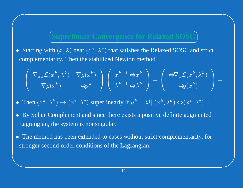### سم<br>س  $\setminus$  $\sum_{i=1}^n$ Τ

 $\bigwedge$ 

 $\mathcal{S}$ 

• Starting with  $(x, \lambda)$  near  $(x^*, \lambda^*)$  that satisfies the Relaxed SOSC and strict<br>complementarity. Then the stabilized Newton method<br> $\left(\nabla_{xx}\mathcal{L}(x^k, \lambda^k) \nabla g(x^k)\right) \left(\nabla_{x^k}\right) \left(\nabla_{x^k}\right) \left(\nabla_{x^k}\mathcal{L}(x^k, \lambda^k)\right)$ complementarity. Then the stabilized Newton method

 $\bigcap$ 

&

**Superlinear Convergence for Relaxed SOS**  
Starting with 
$$
(x, \lambda)
$$
 near  $(x^*, \lambda^*)$  that satisfies the Relaxed SOS and strict  
omplementary. Then the stabilized Newton method  

$$
\begin{pmatrix} \nabla_{xx} \mathcal{L}(x^k, \lambda^k) & \nabla g(x^k) \\ \nabla g(x^k) & \Leftrightarrow \mu^k \end{pmatrix} \begin{pmatrix} x^{k+1} \Leftrightarrow x^k \\ \lambda^{k+1} \Leftrightarrow \lambda^k \end{pmatrix} = \begin{pmatrix} \Leftrightarrow \nabla_x \mathcal{L}(x^k, \lambda^k) \\ \Leftrightarrow g(x^k) \end{pmatrix} =
$$
  
Then  $(x^k, \lambda^k) \rightarrow (x^*, \lambda^*)$  superlinearly if  $\mu^k = \Omega || (x^k, \lambda^k) \Leftrightarrow (x^*, \lambda^*) ||$ .  
By Schur Complement and since there exists a positive definite augmented  
agrangian, the system is nonsingular.

 $\bullet$ 

- Then  $(x^k, \lambda^k) \to (x^*, \lambda^*)$  superlinearly if  $\mu^k = \Omega ||(x^k, \lambda^k) \Leftrightarrow (x^*, \lambda^*)||$ .<br>
 By Schur Complement and since there exists a positive definite augmente Lagrangian, the system is nonsingular.<br>
 The method has been ex  $) \Leftrightarrow$ <br>nite  $\bullet$ • By Schur Complement and since there exists a positive definite augmented<br>Lagrangian, the system is nonsingular.<br>• The method has been extended to cases without strict complementarity, for Lagrangian, the system is nonsingular.
- $\bullet$ • The method has been extended to cases without strict complementarity, for stronger second-order conditions of the Lagrangian. stronger second-order conditions of the Lagrangian.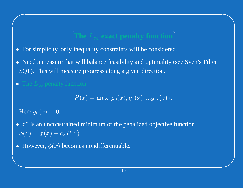### $\subset$ V ヽ Τ **The**

 $\bigwedge$ 

 $\mathcal{S}$ 

- **exact** penalty function<br>For simplicity, only inequality constraints will be considered.  $\bullet$
- SQP). This will measure progress along <sup>a</sup> given direction. • For simplicity, only inequality constraints will be considered.<br>• Need a measure that will balance feasibility and optimality (s SQP). This will measure progress along a given direction. • Need a measure that will balance feasibility and optimality (see Sven's Filter SQP). This will measure progress along a given direction.<br>• The  $L_{\infty}$  penalty function
- The  $L_{\infty}$  penalty furour  $H$  and  $a_2(x) = 0$

$$
P(x) = \max\{g_0(x), g_1(x), ... g_m(x)\}.
$$

Here  $g_0(x)$ 

 $\bigcap$ 

- $\infty$  penalty function $P(x)$ <br> $( x ) \equiv 0.$ un unconstrained m  $P(x) = \max\{g_0(x), g_1(x), ...g_m(x)\}.$ ed minimum of the penalized objective  $x$ ). )  $\equiv$ <br> $\frac{1}{2}$  $\equiv 0.$ <br>
(cons) +<br>  $\phi(x)$ •  $x^*$  is an unconstrained minimum of the penalized objective function<br>  $\phi(x) = f(x) + c_\phi P(x)$ .<br>
• However,  $\phi(x)$  becomes nondifferentiable.  $\phi(x)$  $= f(x) + c_{\phi} P(x).$ <br>
swever,  $\phi(x)$  become
- However,  $\phi(x)$  becomes nondifferentiable.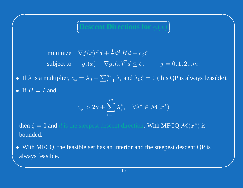سيستهم Z ヽ Τ  $\bigwedge$ 

 $\mathcal{S}$ 

 minimize  $\nabla f$  $f(x)^T d + \frac{1}{2} d^T H d + c_{\phi} \zeta$ <br>  $g_j(x) + \nabla g_j(x)^T d \leq \zeta,$ <br>  $\therefore \lambda_0 + \sum_{i=1}^m \lambda_i$  and  $\lambda_0 \zeta =$ subject to  $g_j$  $(y_j(x) + \nabla g_j(x)^T d \le \zeta,$   $j = 0, 1, 2...m,$ <br>  $\lambda_0 + \sum_{i=1}^m \lambda_i$  and  $\lambda_0 \zeta = 0$  (this QP is alway

• If  $H$ 

 $\bigcap$ 

\n- If 
$$
\lambda
$$
 is a multiplier,  $c_{\phi} = \lambda_0 + \sum_{i=1}^{m} \lambda_i$  and  $\lambda_0 \zeta = 0$  (this QP is always feasible).
\n- If  $H = I$  and\n 
$$
c_{\phi} > 2\gamma + \sum_{i=1}^{m} \lambda_i^*, \quad \forall \lambda^* \in \mathcal{M}(x^*)
$$
\n
\n

 $H = I$  and<br>  $c_{\phi} >$ <br>  $\alpha \zeta = 0$  and  $d$  is the steep<br>
inded.  $> 2\gamma + \sum_{i=1} \lambda_i^*, \quad \forall \lambda^* \in \mathcal{M}(x^*)$ <br>repest descent direction. With MF<br>expect has an interior and the steeperture then  $\zeta$ bounded.

always feasible.  $\zeta = 0$  and d is the steepest descent direction. With MFCQ  $\mathcal{M}(x^*)$  is ded.<br>h MFCQ, the feasible set has an interior and the steepest descent QP ys feasible. • With MFCQ, the feasible set has an interior and the steepest descent QP is always feasible.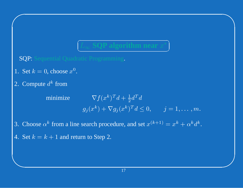# $\infty$  **SQP algorithm near**  $x^*$ <br>c Programming.

 $\bigcap$ 

Τ

 $\bigwedge$ 

 $\mathcal{S}$ 

SQP: Sequential Quadratic Programming.

C

 $\smallsetminus$ 

- 1. Set  $k$
- $\kappa =$ nput 2. Compute  $d^k$

 $\bigcap$ 

&

= 0, choose  $x^0$ .<br>
oute  $d^k$  from<br>
minimize  $\frac{k}{n}$  from<br>inimiz minimize  $\nabla f$  $f(x^k)^T d$ <br>  $\rangle + \nabla g_j$  $d + \frac{1}{2} d^T d$ <br>  $j(x^k)^T d \le$ <br>
ure, and set  $g_j$ 

 $(y_j(x^k) + \nabla g_j(x^k)^T d \le 0, \quad j = 1, \dots, m.$ <br>
such procedure, and set  $x^{(k+1)} = x^k + \alpha^k d^k$ <br>
to Step 2. 3. Choose  $\alpha^k$  from a line search procedure, and set  $x^{(k+1)} = x^k + \alpha^k d^k$ .<br>4. Set  $k = k + 1$  and return to Step 2.

4. Set  $k = k + 1$  and return to Step 2.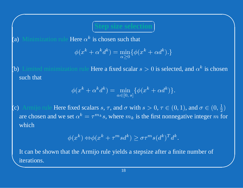## ヽ Τ

 $\bigwedge$ 

 $\mathcal{S}$ 

(a) Minimization rule Here  $\alpha^k$  is chosen such that<br>  $\phi(x^k + \alpha^k d^k) = \min_{\alpha \ge 0} {\{\phi(\alpha^k + \alpha^k d^k)\}}$ 

سم

 $\setminus$ 

 $\bigcap$ 

$$
\phi(x^k + \alpha^k d^k) = \min_{\alpha \ge 0} \{ \phi(x^k + \alpha d^k) . \}
$$

 $\alpha^k$  is chosen such that<br>  $\alpha^k + \alpha^k d^k$ ) = min{ $\phi(x^k + \alpha d^k)$ .}<br>
le Here a fixed scalar  $s > 0$  is selection<br>  $+\alpha^k d^k$ ) = min { $\phi(x^k + \alpha d^k)$ } (b) Limited minimization rule Here a fixed scalar  $s >$ <br>such that<br> $\phi(x^k + \alpha^k d^k) = \min_{\alpha \in [0, s]} {\{\phi(x^k + \alpha^k d^k)\}}$ such that

$$
\phi(x^k + \alpha^k d^k) = \min_{\alpha \in [0, s]} \{ \phi(x^k + \alpha d^k) \}.
$$

ule Here a fixed scalar  $s > 0$  is selected, and  $\alpha^k$  is chosen<br>  $\alpha^k + \alpha^k d^k$  =  $\min_{\alpha \in [0, s]} {\{\phi(x^k + \alpha d^k)\}}$ .<br>
scalars  $s, \tau$ , and  $\sigma$  with  $s > 0, \tau \in (0, 1)$ , and  $\sigma \in (0, \frac{1}{2})$ <br>  $\alpha^s = \tau^{m_k} s$ , where  $m_k$  is the fi (c) Armijo rule Here fixed scalars  $s, \tau$ , and  $\sigma$  with  $s > 0, \tau \in (0, 1)$ , and  $\sigma \in (0, \frac{1}{2})$ <br>are chosen and we set  $\alpha^k = \tau^{m_k} s$ , where  $m_k$  is the first nonnegative integer  $m$  fo<br>which<br> $\phi(x^k) \Leftrightarrow \phi(x^k + \tau^m s d^k) \ge$  $\tau$ , and  $\sigma$  with  $s >$ <br>where  $m_k$  is the iffer  $m_k$  is the iffer  $+\tau^m s d^k$   $> \sigma \tau^m$ are chosen and we set  $\alpha^k$  $k = \tau^{m_k} s$ , where  $m_k$  is the first nonnegative integer  $m$  for<br>  $k$ )  $\Leftrightarrow \phi(x^k + \tau^m s d^k) \ge \sigma \tau^m s (d^k)^T d^k$ .<br>
Armijo rule yields a stepsize after a finite number of which

$$
\phi(x^k) \Leftrightarrow \phi(x^k + \tau^m s d^k) \ge \sigma \tau^m s (d^k)^T d^k.
$$

\te  $\omega^k = \tau^{m_k} s$ , where  $m_k$  is the first nonnegative integer  $m$ <br>  $(\omega^k + \tau^m s d^k) \geq \sigma \tau^m s (d^k)^T d^k$ .<br>
Armijo rule yields a stepsize after a finite number of<br>
18 It can be shown that the Armijo rule yields <sup>a</sup> stepsize after <sup>a</sup> finite number of iterations.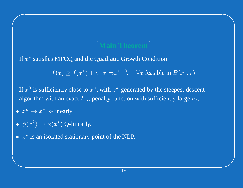### $\subset$  $\smallsetminus$ ヽ

 $\bigwedge$ 

 $\mathcal{S}$ 

 $\operatorname{If} x^*$ 

**Main Theorem**<br>uadratic Growth Cor<br> $||x \Leftrightarrow x^*||^2, \quad \forall x \text{ fe}$ \* satisfies MFCQ and the Quadratic Growth Condition<br> $f(x) \ge f(x^*) + \sigma ||x \Leftrightarrow x^*||^2$ ,  $\forall x$  feasible f

,我们也不会有什么。""我们的人,我们也不会有什么?""我们的人,我们也不会有什么?""我们的人,我们也不会有什么?""我们的人,我们也不会有什么?""我们的人  $f(x) \ge f(x^*) + \sigma ||x \Leftrightarrow x^*||^2$ ,  $\forall x$  feasible in  $B(x^*, r)$ <br>ciently close to  $x^*$ , with  $x^k$  generated by the steepest des<br>th an exact  $L_{\infty}$  penalty function with sufficiently large  $c$ <br>-linearly. If  $x^0$  is sufficiently close to  $x^*$ , with  $x^k$ <br>algorithm with an exact  $L_{\infty}$  penalty fur- $\kappa$  generated by the steepest descent<br>inction with sufficiently large  $c_{\phi}$ , algorithm with an exact  $L_{\infty}$  penalty function with sufficiently large  $c_{\phi}$ ,<br>  $x^k \to x^*$  R-linearly.<br>  $\phi(x^k) \to \phi(x^*)$  Q-linearly.<br>  $x^*$  is an isolated stationary point of the NLP.

•  $x^k \rightarrow x^*$  R-linearly.

 $\bigcap$ 

- $x^k \rightarrow x^*$  R-linearly.<br>
  $\phi(x^k) \rightarrow \phi(x^*)$  Q-l:<br>
  $x^*$  is an isolated stat  $\bullet$ •  $\phi(x^k) \rightarrow$ <br>•  $x^*$  is an i  $\rightarrow \phi(x^*)$  Q-linearly.<br>
n isolated stationary
- $x^*$  is an isolated stationary point of the NLP.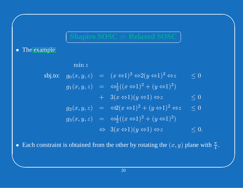### سيستهم V ヽ Τ

 $\bigwedge$ 

 $\mathcal{S}$ 

• The [examp](www.mcs.anl.gov/~anitescu/SIMULATIONS/constrsetflat.wrl)le<br>sbj.t

 $\bigcap$ 

&

| Shapiro SOS                                                                                                  | Relaxed SOS                                                                                                |
|--------------------------------------------------------------------------------------------------------------|------------------------------------------------------------------------------------------------------------|
| mple                                                                                                         |                                                                                                            |
| $\min z$                                                                                                     | $g_0(x, y, z) = (x \Leftrightarrow 1)^2 \Leftrightarrow 2(y \Leftrightarrow 1)^2 \Leftrightarrow z \leq 0$ |
| $g_1(x, y, z) = \Leftrightarrow \frac{1}{2}((x \Leftrightarrow 1)^2 + (y \Leftrightarrow 1)^2)$              | + 3(x \Leftrightarrow 1)(y \Leftrightarrow 1) \Leftrightarrow z \leq 0                                     |
| $g_2(x, y, z) = \Leftrightarrow 2(x \Leftrightarrow 1)^2 + (y \Leftrightarrow 1)^2 \Leftrightarrow z \leq 0$ |                                                                                                            |
| $g_3(x, y, z) = \Leftrightarrow \frac{1}{2}((x \Leftrightarrow 1)^2 + (y \Leftrightarrow 1)^2)$              | ⇒ 3(x \Leftrightarrow 1)(y \Leftrightarrow 1) \Leftrightarrow z \leq 0.                                    |
| $s$ straint is obtained from the other by rotating the $(x, y)$ plane $y$                                    |                                                                                                            |
| $20$                                                                                                         |                                                                                                            |

• Each constraint is obtained from the other by rotating the  $(x, y)$  plane with  $\frac{\pi}{4}$ .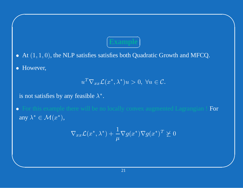- At  $(1, 1, 0)$ , the NLP satisfies satisfies both Quadratic Growth and MFCQ.
- However,  $\bullet$

$$
u^T \nabla_{xx} \mathcal{L}(x^*, \lambda^*) u > 0, \ \forall u \in \mathcal{C}.
$$

is not satisfies by any feasible  $\lambda^*$ .

For this example there will be no locally convex augmented Lagrangian ! For  $\bullet$ any  $\overline{\lambda^*} \in \mathcal{M}(x^*)$ ,

$$
\nabla_{xx}\mathcal{L}(x^*,\lambda^*) + \frac{1}{\mu}\nabla g(x^*)\nabla g(x^*)^T \not\succeq 0
$$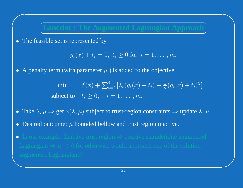### $\subset$  $\setminus$ ヽ Τ **Lancelot : The Augmented Lagrangian Approach**

 $\bigwedge$ 

 $\mathcal{S}$ 

 $\bullet$ The feasible set is represented by

 $\bigcap$ 

$$
g_i(x)+t_i=0,\;t_i\geq 0\;\text{for}\;\;i=1,\ldots,m.
$$

) +<br>urar

+  $t_i = 0, t_i \ge 0$  for  $i = 1, ..., m$ .<br>
ameter  $\mu$  ) is added to the objective<br>  $(x) + \sum_{i=1}^{4} [\lambda_i(g_i(x) + t_i) + \frac{1}{\mu}(g_i(x))]$ <br>  $> 0, \quad i = 1, ..., m$ . • A penalty term (with parameter  $\mu$ <br>min  $f(x) + \sum$ <br>subject to  $t_i \ge 0$ ,  $\mu$  ) is added to the objective<br>  $\sum_{i=1}^{4} [\lambda_i (g_i(x) + t_i) + \frac{1}{\mu} (g_i$ <br>  $i = 1, ..., m.$ minn  $f(x) +$ <br>ct to  $t_i \ge 0$ ,<br> $x(\lambda, \mu)$  subje  $+\sum_{i=1}^{4} [\lambda_i(g_i(x) + t_i) + \frac{1}{\mu}(g_i(x) + t_i)^2]$ <br>  $\quad, \quad i = 1, \dots, m.$ <br>
ject to trust-region constraints  $\Rightarrow$  update  $\lambda$ <br>
I bellow and trust region inactive. subject to  $t_i$ 

- $i \geq 0$ ,  $i = 1, \ldots, m$ .<br>
subject to trust-region<br>
nded bellow and trust r<br>
trust region  $\Rightarrow$  positive
- Take  $\lambda$ ,  $\mu$ <br>• Desired o<br>• In our exa Desired outcome:  $\mu$  bounded bellow and trust region inactive.  $\bullet$
- augmented Lagrangians)!  $\Rightarrow$  get  $x(\lambda, \mu)$  subject to trust-region constraints  $\Rightarrow$  update  $\lambda$ ,  $\mu$ .<br>atcome:  $\mu$  bounded bellow and trust region inactive.<br>mple: Inactive trust region  $\Rightarrow$  positive semidefinite augmented<br> $\Rightarrow \mu \rightarrow 0$  (or otherwi • Desired outcome:  $\mu$ <br>• In our example: Ina<br>Lagrangian  $\Rightarrow \mu \rightarrow 0$  $\bullet$ • In our example: Inactive trust region  $\Rightarrow$  Lagrangian  $\Rightarrow \mu \rightarrow 0$  (or otherwise woult)<br>augmented Lagrangians)!  $\Rightarrow$  positive semidefinite augmented<br>
puld approach one of the solution<br>
22  $\Rightarrow \mu \to 0$  (or otherwise would approach one of the solution<br>Lagrangians)!<br>22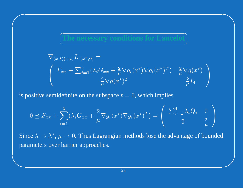ions for Lancelo

$$
\nabla_{(x,t)(x,t)} L|_{(x^*,0)} =
$$
\n
$$
\begin{pmatrix}\nF_{xx} + \sum_{i=1}^4 (\lambda_i G_{xx} + \frac{2}{\mu} \nabla g_i(x^*) \nabla g_i(x^*)^T) & \frac{2}{\mu} \nabla g(x^*) \\
\frac{2}{\mu} \nabla g(x^*)^T & \frac{2}{\mu} I_4\n\end{pmatrix}
$$

is positive semidefinite on the subspace  $t = 0$ , which implies

$$
0 \preceq F_{xx} + \sum_{i=1}^{4} (\lambda_i G_{xx} + \frac{2}{\mu} \nabla g_i(x^*) \nabla g_i(x^*)^T) = \begin{pmatrix} \sum_{i=1}^{4} \lambda_i Q_i & 0\\ 0 & \frac{2}{\mu} \end{pmatrix}
$$

Since  $\lambda \to \lambda^*, \mu \to 0$ . Thus Lagrangian methods lose the advantage of bounded parameters over barrier approaches.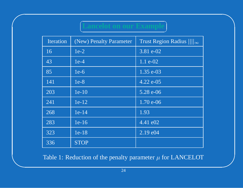## ancelot on our Example

| Iteration | (New) Penalty Parameter | Trust Region Radius $\ \ _{\infty}$ |
|-----------|-------------------------|-------------------------------------|
| 16        | $1e-2$                  | 3.81 e-02                           |
| 43        | $1e-4$                  | 1.1 $e$ -02                         |
| 85        | $1e-6$                  | $1.35 e-03$                         |
| 141       | $1e-8$                  | $4.22 e-05$                         |
| 203       | $1e-10$                 | 5.28 e-06                           |
| 241       | $1e-12$                 | 1.70 e-06                           |
| 268       | $1e-14$                 | 1.93                                |
| 283       | $1e-16$                 | $\sqrt{4.41}$ e02                   |
| 323       | $1e-18$                 | $2.19 \text{ e}04$                  |
| 336       | <b>STOP</b>             |                                     |

Table 1: Reduction of the penalty parameter  $\mu$  for LANCELOT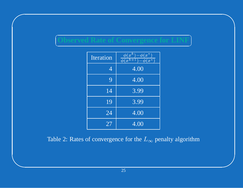### سم<br>س  $\setminus$  $\bigcap$ J

 $\bigwedge$ 

 $\mathcal{S}$ 

 $\bigcap$ 

&

| bserved Kate of Conve<br>rgence for Ll |                  |                                                                              |  |  |  |
|----------------------------------------|------------------|------------------------------------------------------------------------------|--|--|--|
|                                        | <b>Iteration</b> | $\boldsymbol{k}$<br>$\phi(x^*)$<br>$\overline{x}$<br>$\phi(x^k+)$<br>$(x^*)$ |  |  |  |
|                                        | $\overline{4}$   | 4.00                                                                         |  |  |  |
|                                        | 9                | 4.00                                                                         |  |  |  |
|                                        | 14               | 3.99                                                                         |  |  |  |
|                                        | 19               | 3.99                                                                         |  |  |  |
|                                        | 24               | 4.00                                                                         |  |  |  |
|                                        | 27               | 4.00                                                                         |  |  |  |

Table 2: Rates of convergence for the  $L_{\infty}$  penalty algorithm<br> $\frac{25}{25}$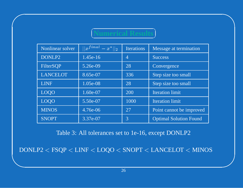### $\subset$ N  $\bigcap$

 $\bigwedge$ 

 $\mathcal{S}$ 

 $\bigcap$ 

&

| <b>Iumerical Resi</b> |                           |                   |                               |  |  |
|-----------------------|---------------------------|-------------------|-------------------------------|--|--|
| Nonlinear solver      | $  x^{final}-x^{*}  _{2}$ | <b>Iterations</b> | Message at termination        |  |  |
| DONLP2                | $1.45e-16$                | $\overline{4}$    | <b>Success</b>                |  |  |
| FilterSQP             | 5.26e-09                  | 28                | Convergence                   |  |  |
| <b>LANCELOT</b>       | 8.65e-07                  | 336               | Step size too small           |  |  |
| LINF                  | 1.05e-08                  | 28                | Step size too small           |  |  |
| <b>LOQO</b>           | 1.60e-07                  | 200               | <b>Iteration limit</b>        |  |  |
| <b>LOQO</b>           | 5.50e-07                  | 1000              | <b>Iteration limit</b>        |  |  |
| <b>MINOS</b>          | 4.76e-06                  | 27                | Point cannot be improved      |  |  |
| <b>SNOPT</b>          | 3.37e-07                  | 3                 | <b>Optimal Solution Found</b> |  |  |

Table 3: All tolerances set to 1e-16, excep<sup>t</sup> DONLP2

 $\text{DOMLP2} < \text{FSQP} < \text{LINF} < \text{LOQO} < \text{SNOPT} < \text{LANCELOT} < \text{MINOS}$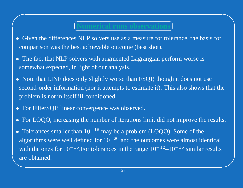### $\subset$ N  $\bigcap$

 $\bigwedge$ 

- Mumerical runs observations<br>
NLP solvers use as a measure for tole<br>
st achievable outcome (best shot).<br>
vers with augmented Lagrangian perf  $\bullet$ • Given the differences NLP solvers use as a measure for tolerance, the basis for comparison was the best achievable outcome (best shot).<br>• The fact that NLP solvers with augmented Lagrangian perform worse is comparison was the best achievable outcome (best shot).
- $\bullet$ • The fact that NLP solvers with augmented Lagrangian perform worse is<br>somewhat expected, in light of our analysis.<br>• Note that LINF does only slightly worse than FSQP, though it does not somewhat expected, in light of our analysis.
- $\bullet$ • Note that LINF does only slightly worse than FSQP, though it does not use<br>second-order information (nor it attempts to estimate it). This also shows the<br>problem is not in itself ill-conditioned. second-order information (nor it attempts to estimate it). This also shows that the problem is not in itself ill-conditioned.
- For FilterSQP, linear convergence was observed.

 $\bigcap$ 

- For LOQO, increasing the number of iterations limit did not improve the results.
- are obtained.  $\mathcal{S}$ • For FilterSQP, linear convergence was observed.<br>• For LOQO, increasing the number of iterations l<br>• Tolerances smaller than  $10^{-16}$  may be a problen • For LOQO, increasing the number of iterations limit did not improve the results.<br>• Tolerances smaller than  $10^{-16}$  may be a problem (LOQO). Some of the algorithms were well defined for  $10^{-20}$  and the outcomes were al  $\bullet$ • Tolerances smaller than  $10^{-16}$  may be a problem (LOQO). Some of the algorithms were well defined for  $10^{-20}$  and the outcomes were almost identical with the ones for  $10^{-16}$ . For tolerances in the range  $10^{-12}$ – $10$ algorithms were well defined for  $10^{-20}\,$ with the ones for  $10^{-16}$ . For tolerances in the range  $10^{-12}$ – $10^{-15}$  similar results are obtained.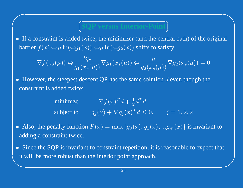### مسمح V  $\bigcap$ Š

 $\bigwedge$ 

 $\bigcap$ 

• If a constraint is added twice, the minimizer (and the central path) of the original<br>barrier  $f(x) \Leftrightarrow \mu \ln(\Leftrightarrow g_1(x)) \Leftrightarrow \mu \ln(\Leftrightarrow g_2(x))$  shifts to satisfy<br> $\nabla f(x_s(\mu)) \Leftrightarrow \frac{2\mu}{\sigma(\sigma(\mu))} \nabla g_1(x_s(\mu)) \Leftrightarrow \frac{\mu}{\sigma(\sigma(\mu))} \nabla$ 

If a constraint is added twice, the minimizer (and the central path) of the o  
barrier 
$$
f(x) \Leftrightarrow \mu \ln(\Leftrightarrow g_1(x)) \Leftrightarrow \mu \ln(\Leftrightarrow g_2(x))
$$
 shifts to satisfy  

$$
\nabla f(x_s(\mu)) \Leftrightarrow \frac{2\mu}{g_1(x_s(\mu))} \nabla g_1(x_s(\mu)) \Leftrightarrow \frac{\mu}{g_2(x_s(\mu))} \nabla g_2(x_s(\mu)) = 0
$$
  
However, the steepest descent QP has the same solution d even though the  
constraint is added twice:  
minimize 
$$
\nabla f(x)^T d + \frac{1}{2} d^T d
$$

 $\nabla f(x_s(\mu)) \Leftrightarrow \frac{2\mu}{g_1(x_s(\mu))} \nabla g_1(x_s(\mu)) \Leftrightarrow \frac{\mu}{g_2(x_s(\mu))} \nabla g_2(x_s(\mu)) = 0$ <br>
• However, the steepest descent QP has the same solution d even though the constraint is added twice:<br>
minimize  $\nabla f(x)^T d + \frac{1}{2} d^T d$  $\bullet$ constraint is added twice:

 $f(x)^T d + \frac{1}{2} d^T d$ <br>  $+ \nabla g_j(x)^T d \le$ <br>  $= \max\{g_0(x), g\}$ subject to  $g_j$ 

- $\nabla_j(x) + \nabla g_j(x)^T d \le 0, \qquad j = 1, 2, 2$ <br>  $\nabla(x) = \max\{g_0(x), g_1(x), ... g_m(x)\}$  is<br>  $\nabla$  constraint repetition, it is reasonable to  $\bullet$ adding <sup>a</sup> constraint twice.
- it will be more robust than the interior point approach.  $\mathcal{S}$ Also, the penalty function  $P(x) = \max\{g_0(x), g_1(x), ...g_m(x)\}\$  is invariant to adding a constraint twice.<br>
• Since the SQP is invariant to constraint repetition, it is reasonable to expect that it will be more robust than the inte  $\bullet$ • Since the SQP is invariant to constraint repetition, it is reasonable to expect that it will be more robust than the interior point approach.<br> $\frac{28}{\sqrt{2}}$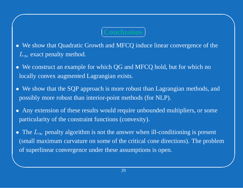### C V つ

 $\bigwedge$ 

 $\mathcal{S}$ 

**Conclusions<br>and MFCQ indu<br>ich QG and MF(**  $\bullet$ • We show that Quadratic Growth and MFCQ induce linear convergence of the  $L_{\infty}$  exact penalty method.<br>• We construct an example for which QG and MFCQ hold, but for which no  $L_{\infty}$  exact penalty method.

 $\bigcap$ 

- $\infty$  exact penalty method.<br>We construct an example<br>cally convex augmented<br>We show that the SQP ap<br>pssibly more robust than  $\bullet$ • We construct an example for which QG and MFCQ hold, but for which no<br>locally convex augmented Lagrangian exists.<br>• We show that the SQP approach is more robust than Lagrangian methods, locally convex augmented Lagrangian exists.
- $\bullet$ • We show that the SQP approach is more robust than Lagrangian methods, and possibly more robust than interior-point methods (for NLP).<br>• Any extension of these results would require unbounded multipliers, or some possibly more robust than interior-point methods (for NLP).
- $\bullet$ particularity of the constraint functions (convexity).
- The  $L_{\infty}$  penalty algorithm is not the answer when ill-conditioning is present  $\bullet$ • The  $L_{\infty}$  penalty algorithm is not the answer when ill-conditioning is present (small maximum curvature on some of the critical cone directions). The proble of superlinear convergence under these assumptions is open. (small maximum curvature on some of the critical cone directions). The problem of superlinear convergence under these assumptions is open.